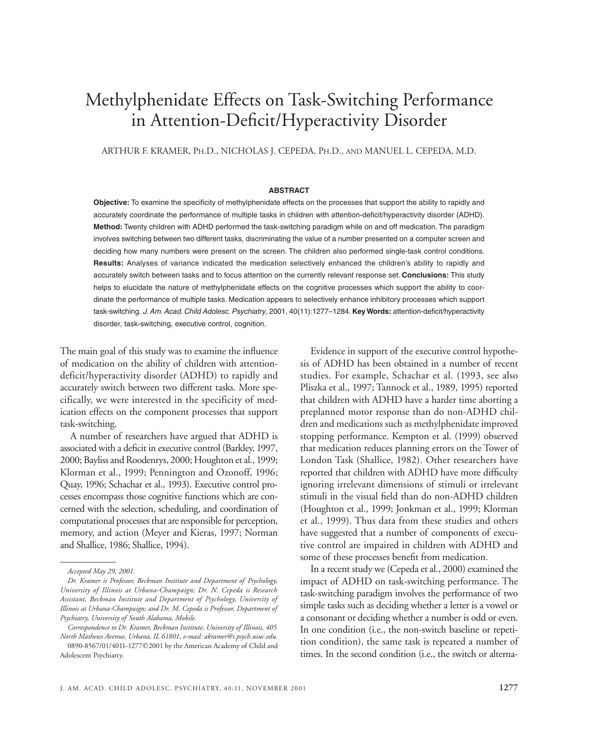# Methylphenidate Effects on Task-Switching Performance in Attention-Deficit/Hyperactivity Disorder

ARTHUR F. KRAMER, PH.D., NICHOLAS J. CEPEDA, PH.D., AND MANUEL L. CEPEDA, M.D.

#### **ABSTRACT**

**Objective:** To examine the specificity of methylphenidate effects on the processes that support the ability to rapidly and accurately coordinate the performance of multiple tasks in children with attention-deficit/hyperactivity disorder (ADHD). **Method:** Twenty children with ADHD performed the task-switching paradigm while on and off medication. The paradigm involves switching between two different tasks, discriminating the value of a number presented on a computer screen and deciding how many numbers were present on the screen. The children also performed single-task control conditions. **Results:** Analyses of variance indicated the medication selectively enhanced the children's ability to rapidly and accurately switch between tasks and to focus attention on the currently relevant response set. **Conclusions:** This study helps to elucidate the nature of methylphenidate effects on the cognitive processes which support the ability to coordinate the performance of multiple tasks. Medication appears to selectively enhance inhibitory processes which support task-switching. *J. Am. Acad. Child Adolesc. Psychiatry*, 2001, 40(11):1277–1284. **Key Words:** attention-deficit/hyperactivity disorder, task-switching, executive control, cognition.

The main goal of this study was to examine the influence of medication on the ability of children with attentiondeficit/hyperactivity disorder (ADHD) to rapidly and accurately switch between two different tasks. More specifically, we were interested in the specificity of medication effects on the component processes that support task-switching.

A number of researchers have argued that ADHD is associated with a deficit in executive control (Barkley, 1997, 2000; Bayliss and Roodenrys, 2000; Houghton et al., 1999; Klorman et al., 1999; Pennington and Ozonoff, 1996; Quay, 1996; Schachar et al., 1993). Executive control processes encompass those cognitive functions which are concerned with the selection, scheduling, and coordination of computational processes that are responsible for perception, memory, and action (Meyer and Kieras, 1997; Norman and Shallice, 1986; Shallice, 1994).

Evidence in support of the executive control hypothesis of ADHD has been obtained in a number of recent studies. For example, Schachar et al. (1993, see also Pliszka et al., 1997; Tannock et al., 1989, 1995) reported that children with ADHD have a harder time aborting a preplanned motor response than do non-ADHD children and medications such as methylphenidate improved stopping performance. Kempton et al. (1999) observed that medication reduces planning errors on the Tower of London Task (Shallice, 1982). Other researchers have reported that children with ADHD have more difficulty ignoring irrelevant dimensions of stimuli or irrelevant stimuli in the visual field than do non-ADHD children (Houghton et al., 1999; Jonkman et al., 1999; Klorman et al., 1999). Thus data from these studies and others have suggested that a number of components of executive control are impaired in children with ADHD and some of these processes benefit from medication.

In a recent study we (Cepeda et al., 2000) examined the impact of ADHD on task-switching performance. The task-switching paradigm involves the performance of two simple tasks such as deciding whether a letter is a vowel or a consonant or deciding whether a number is odd or even. In one condition (i.e., the non-switch baseline or repetition condition), the same task is repeated a number of times. In the second condition (i.e., the switch or alterna-

*Accepted May 29, 2001.*

*Dr. Kramer is Professor, Beckman Institute and Department of Psychology, University of Illinois at Urbana-Champaign; Dr. N. Cepeda is Research Assistant, Beckman Institute and Department of Psychology, University of Illinois at Urbana-Champaign; and Dr. M. Cepeda is Professor, Department of Psychiatry, University of South Alabama, Mobile.*

*Correspondence to Dr. Kramer, Beckman Institute, University of Illinois, 405 North Mathews Avenue, Urbana, IL 61801; e-mail: akramer@s.psych.uiuc.edu.*

<sup>0890-8567/01/4011-1277©2001</sup> by the American Academy of Child and Adolescent Psychiatry.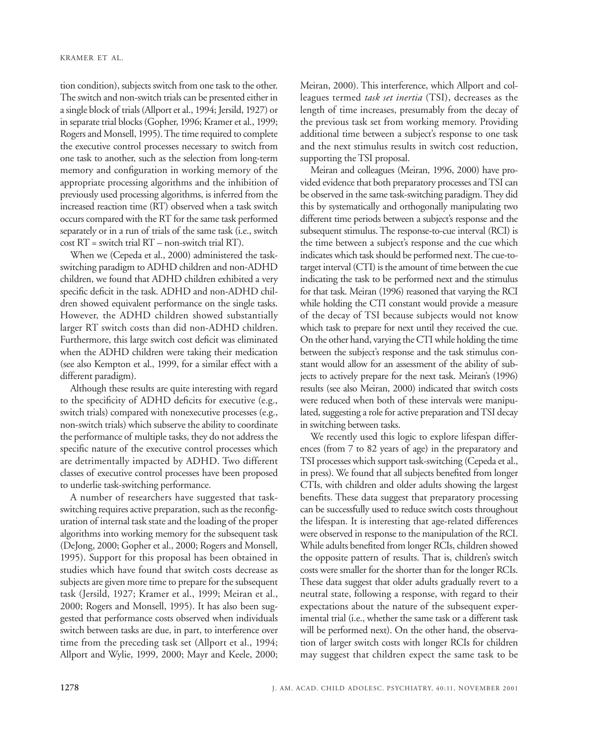tion condition), subjects switch from one task to the other. The switch and non-switch trials can be presented either in a single block of trials (Allport et al., 1994; Jersild, 1927) or in separate trial blocks (Gopher, 1996; Kramer et al., 1999; Rogers and Monsell, 1995). The time required to complete the executive control processes necessary to switch from one task to another, such as the selection from long-term memory and configuration in working memory of the appropriate processing algorithms and the inhibition of previously used processing algorithms, is inferred from the increased reaction time (RT) observed when a task switch occurs compared with the RT for the same task performed separately or in a run of trials of the same task (i.e., switch cost RT = switch trial RT – non-switch trial RT).

When we (Cepeda et al., 2000) administered the taskswitching paradigm to ADHD children and non-ADHD children, we found that ADHD children exhibited a very specific deficit in the task. ADHD and non-ADHD children showed equivalent performance on the single tasks. However, the ADHD children showed substantially larger RT switch costs than did non-ADHD children. Furthermore, this large switch cost deficit was eliminated when the ADHD children were taking their medication (see also Kempton et al., 1999, for a similar effect with a different paradigm).

Although these results are quite interesting with regard to the specificity of ADHD deficits for executive (e.g., switch trials) compared with nonexecutive processes (e.g., non-switch trials) which subserve the ability to coordinate the performance of multiple tasks, they do not address the specific nature of the executive control processes which are detrimentally impacted by ADHD. Two different classes of executive control processes have been proposed to underlie task-switching performance.

A number of researchers have suggested that taskswitching requires active preparation, such as the reconfiguration of internal task state and the loading of the proper algorithms into working memory for the subsequent task (DeJong, 2000; Gopher et al., 2000; Rogers and Monsell, 1995). Support for this proposal has been obtained in studies which have found that switch costs decrease as subjects are given more time to prepare for the subsequent task (Jersild, 1927; Kramer et al., 1999; Meiran et al., 2000; Rogers and Monsell, 1995). It has also been suggested that performance costs observed when individuals switch between tasks are due, in part, to interference over time from the preceding task set (Allport et al., 1994; Allport and Wylie, 1999, 2000; Mayr and Keele, 2000;

Meiran, 2000). This interference, which Allport and colleagues termed *task set inertia* (TSI), decreases as the length of time increases, presumably from the decay of the previous task set from working memory. Providing additional time between a subject's response to one task and the next stimulus results in switch cost reduction, supporting the TSI proposal.

Meiran and colleagues (Meiran, 1996, 2000) have provided evidence that both preparatory processes and TSI can be observed in the same task-switching paradigm. They did this by systematically and orthogonally manipulating two different time periods between a subject's response and the subsequent stimulus. The response-to-cue interval (RCI) is the time between a subject's response and the cue which indicates which task should be performed next. The cue-totarget interval (CTI) is the amount of time between the cue indicating the task to be performed next and the stimulus for that task. Meiran (1996) reasoned that varying the RCI while holding the CTI constant would provide a measure of the decay of TSI because subjects would not know which task to prepare for next until they received the cue. On the other hand, varying the CTI while holding the time between the subject's response and the task stimulus constant would allow for an assessment of the ability of subjects to actively prepare for the next task. Meiran's (1996) results (see also Meiran, 2000) indicated that switch costs were reduced when both of these intervals were manipulated, suggesting a role for active preparation and TSI decay in switching between tasks.

We recently used this logic to explore lifespan differences (from 7 to 82 years of age) in the preparatory and TSI processes which support task-switching (Cepeda et al., in press). We found that all subjects benefited from longer CTIs, with children and older adults showing the largest benefits. These data suggest that preparatory processing can be successfully used to reduce switch costs throughout the lifespan. It is interesting that age-related differences were observed in response to the manipulation of the RCI. While adults benefited from longer RCIs, children showed the opposite pattern of results. That is, children's switch costs were smaller for the shorter than for the longer RCIs. These data suggest that older adults gradually revert to a neutral state, following a response, with regard to their expectations about the nature of the subsequent experimental trial (i.e., whether the same task or a different task will be performed next). On the other hand, the observation of larger switch costs with longer RCIs for children may suggest that children expect the same task to be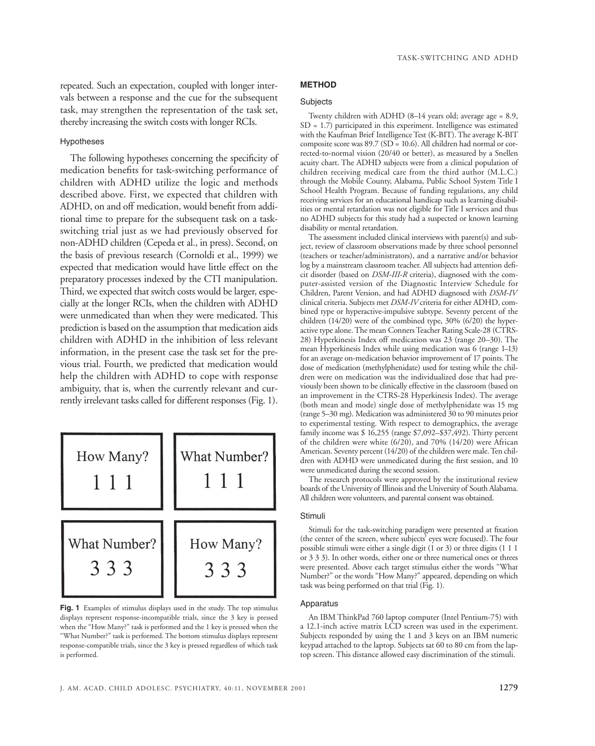repeated. Such an expectation, coupled with longer intervals between a response and the cue for the subsequent task, may strengthen the representation of the task set, thereby increasing the switch costs with longer RCIs.

## Hypotheses

The following hypotheses concerning the specificity of medication benefits for task-switching performance of children with ADHD utilize the logic and methods described above. First, we expected that children with ADHD, on and off medication, would benefit from additional time to prepare for the subsequent task on a taskswitching trial just as we had previously observed for non-ADHD children (Cepeda et al., in press). Second, on the basis of previous research (Cornoldi et al., 1999) we expected that medication would have little effect on the preparatory processes indexed by the CTI manipulation. Third, we expected that switch costs would be larger, especially at the longer RCIs, when the children with ADHD were unmedicated than when they were medicated. This prediction is based on the assumption that medication aids children with ADHD in the inhibition of less relevant information, in the present case the task set for the previous trial. Fourth, we predicted that medication would help the children with ADHD to cope with response ambiguity, that is, when the currently relevant and currently irrelevant tasks called for different responses (Fig. 1).



**Fig. 1** Examples of stimulus displays used in the study. The top stimulus displays represent response-incompatible trials, since the 3 key is pressed when the "How Many?" task is performed and the 1 key is pressed when the "What Number?" task is performed. The bottom stimulus displays represent response-compatible trials, since the 3 key is pressed regardless of which task is performed.

## **METHOD**

## **Subjects**

Twenty children with ADHD (8–14 years old; average age = 8.9, SD = 1.7) participated in this experiment. Intelligence was estimated with the Kaufman Brief Intelligence Test (K-BIT). The average K-BIT composite score was 89.7 (SD = 10.6). All children had normal or corrected-to-normal vision (20/40 or better), as measured by a Snellen acuity chart. The ADHD subjects were from a clinical population of children receiving medical care from the third author (M.L.C.) through the Mobile County, Alabama, Public School System Title I School Health Program. Because of funding regulations, any child receiving services for an educational handicap such as learning disabilities or mental retardation was not eligible for Title I services and thus no ADHD subjects for this study had a suspected or known learning disability or mental retardation.

The assessment included clinical interviews with parent(s) and subject, review of classroom observations made by three school personnel (teachers or teacher/administrators), and a narrative and/or behavior log by a mainstream classroom teacher. All subjects had attention deficit disorder (based on *DSM-III-R* criteria), diagnosed with the computer-assisted version of the Diagnostic Interview Schedule for Children, Parent Version, and had ADHD diagnosed with *DSM-IV* clinical criteria. Subjects met *DSM-IV* criteria for either ADHD, combined type or hyperactive-impulsive subtype. Seventy percent of the children  $(14/20)$  were of the combined type, 30%  $(6/20)$  the hyperactive type alone. The mean Conners Teacher Rating Scale-28 (CTRS-28) Hyperkinesis Index off medication was 23 (range 20–30). The mean Hyperkinesis Index while using medication was 6 (range 1–13) for an average on-medication behavior improvement of 17 points. The dose of medication (methylphenidate) used for testing while the children were on medication was the individualized dose that had previously been shown to be clinically effective in the classroom (based on an improvement in the CTRS-28 Hyperkinesis Index). The average (both mean and mode) single dose of methylphenidate was 15 mg (range 5–30 mg). Medication was administered 30 to 90 minutes prior to experimental testing. With respect to demographics, the average family income was \$ 16,255 (range \$7,092–\$37,492). Thirty percent of the children were white (6/20), and 70% (14/20) were African American. Seventy percent (14/20) of the children were male. Ten children with ADHD were unmedicated during the first session, and 10 were unmedicated during the second session.

The research protocols were approved by the institutional review boards of the University of Illinois and the University of South Alabama. All children were volunteers, and parental consent was obtained.

#### Stimuli

Stimuli for the task-switching paradigm were presented at fixation (the center of the screen, where subjects' eyes were focused). The four possible stimuli were either a single digit (1 or 3) or three digits (1 1 1 or 3 3 3). In other words, either one or three numerical ones or threes were presented. Above each target stimulus either the words "What Number?" or the words "How Many?" appeared, depending on which task was being performed on that trial (Fig. 1).

## Apparatus

An IBM ThinkPad 760 laptop computer (Intel Pentium-75) with a 12.1-inch active matrix LCD screen was used in the experiment. Subjects responded by using the 1 and 3 keys on an IBM numeric keypad attached to the laptop. Subjects sat 60 to 80 cm from the laptop screen. This distance allowed easy discrimination of the stimuli.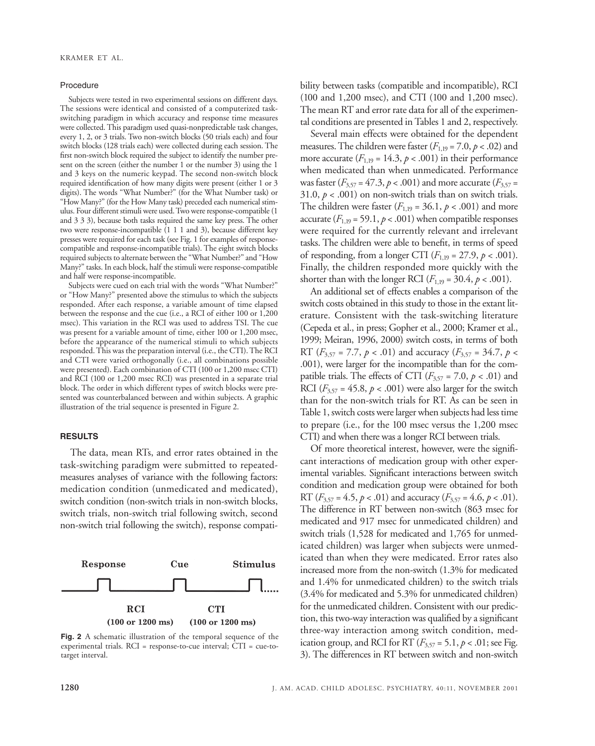#### Procedure

Subjects were tested in two experimental sessions on different days. The sessions were identical and consisted of a computerized taskswitching paradigm in which accuracy and response time measures were collected. This paradigm used quasi-nonpredictable task changes, every 1, 2, or 3 trials. Two non-switch blocks (50 trials each) and four switch blocks (128 trials each) were collected during each session. The first non-switch block required the subject to identify the number present on the screen (either the number 1 or the number 3) using the 1 and 3 keys on the numeric keypad. The second non-switch block required identification of how many digits were present (either 1 or 3 digits). The words "What Number?" (for the What Number task) or "How Many?" (for the How Many task) preceded each numerical stimulus. Four different stimuli were used. Two were response-compatible (1 and 3 3 3), because both tasks required the same key press. The other two were response-incompatible (1 1 1 and 3), because different key presses were required for each task (see Fig. 1 for examples of responsecompatible and response-incompatible trials). The eight switch blocks required subjects to alternate between the "What Number?" and "How Many?" tasks. In each block, half the stimuli were response-compatible and half were response-incompatible.

Subjects were cued on each trial with the words "What Number?" or "How Many?" presented above the stimulus to which the subjects responded. After each response, a variable amount of time elapsed between the response and the cue (i.e., a RCI of either 100 or 1,200 msec). This variation in the RCI was used to address TSI. The cue was present for a variable amount of time, either 100 or 1,200 msec, before the appearance of the numerical stimuli to which subjects responded. This was the preparation interval (i.e., the CTI). The RCI and CTI were varied orthogonally (i.e., all combinations possible were presented). Each combination of CTI (100 or 1,200 msec CTI) and RCI (100 or 1,200 msec RCI) was presented in a separate trial block. The order in which different types of switch blocks were presented was counterbalanced between and within subjects. A graphic illustration of the trial sequence is presented in Figure 2.

## **RESULTS**

The data, mean RTs, and error rates obtained in the task-switching paradigm were submitted to repeatedmeasures analyses of variance with the following factors: medication condition (unmedicated and medicated), switch condition (non-switch trials in non-switch blocks, switch trials, non-switch trial following switch, second non-switch trial following the switch), response compati-



**Fig. 2** A schematic illustration of the temporal sequence of the experimental trials. RCI = response-to-cue interval; CTI = cue-totarget interval.

bility between tasks (compatible and incompatible), RCI (100 and 1,200 msec), and CTI (100 and 1,200 msec). The mean RT and error rate data for all of the experimental conditions are presented in Tables 1 and 2, respectively.

Several main effects were obtained for the dependent measures. The children were faster  $(F_{1,19} = 7.0, p < .02)$  and more accurate  $(F_{1,19} = 14.3, p < .001)$  in their performance when medicated than when unmedicated. Performance was faster  $(F_{3,57} = 47.3, p < .001)$  and more accurate  $(F_{3,57} =$ 31.0,  $p < .001$ ) on non-switch trials than on switch trials. The children were faster  $(F_{1,19} = 36.1, p < .001)$  and more accurate  $(F_{1,19} = 59.1, p < .001)$  when compatible responses were required for the currently relevant and irrelevant tasks. The children were able to benefit, in terms of speed of responding, from a longer CTI  $(F_{1,19} = 27.9, p < .001)$ . Finally, the children responded more quickly with the shorter than with the longer RCI  $(F_{1,19} = 30.4, p < .001)$ .

An additional set of effects enables a comparison of the switch costs obtained in this study to those in the extant literature. Consistent with the task-switching literature (Cepeda et al., in press; Gopher et al., 2000; Kramer et al., 1999; Meiran, 1996, 2000) switch costs, in terms of both RT ( $F_{3,57}$  = 7.7,  $p < .01$ ) and accuracy ( $F_{3,57}$  = 34.7,  $p <$ .001), were larger for the incompatible than for the compatible trials. The effects of CTI ( $F_{3,57}$  = 7.0,  $p < .01$ ) and RCI  $(F_{3,57} = 45.8, p < .001)$  were also larger for the switch than for the non-switch trials for RT. As can be seen in Table 1, switch costs were larger when subjects had less time to prepare (i.e., for the 100 msec versus the 1,200 msec CTI) and when there was a longer RCI between trials.

Of more theoretical interest, however, were the significant interactions of medication group with other experimental variables. Significant interactions between switch condition and medication group were obtained for both RT ( $F_{3,57}$  = 4.5,  $p < .01$ ) and accuracy ( $F_{3,57}$  = 4.6,  $p < .01$ ). The difference in RT between non-switch (863 msec for medicated and 917 msec for unmedicated children) and switch trials (1,528 for medicated and 1,765 for unmedicated children) was larger when subjects were unmedicated than when they were medicated. Error rates also increased more from the non-switch (1.3% for medicated and 1.4% for unmedicated children) to the switch trials (3.4% for medicated and 5.3% for unmedicated children) for the unmedicated children. Consistent with our prediction, this two-way interaction was qualified by a significant three-way interaction among switch condition, medication group, and RCI for RT  $(F_{3,57} = 5.1, p < .01;$  see Fig. 3). The differences in RT between switch and non-switch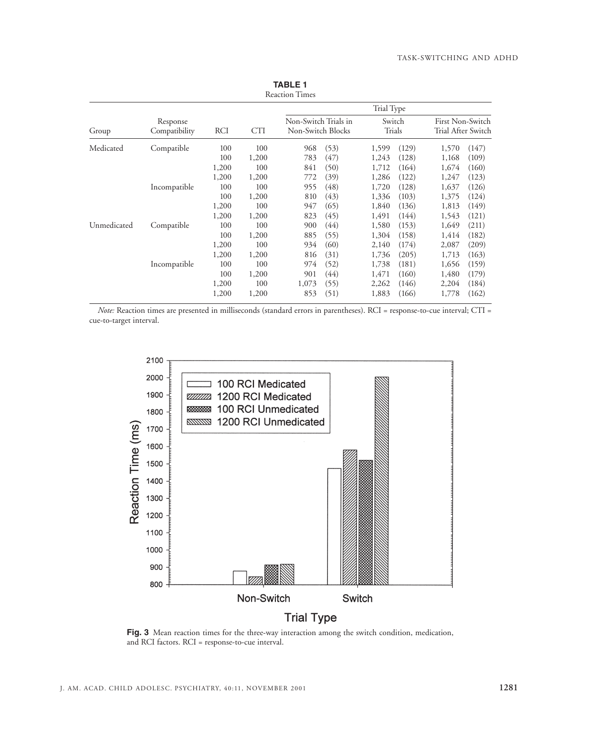| <b>Reaction Times</b> |                                                         |                                            |                                                   |                                           |                                      |                                           |                                           |                                           |                                           |  |  |
|-----------------------|---------------------------------------------------------|--------------------------------------------|---------------------------------------------------|-------------------------------------------|--------------------------------------|-------------------------------------------|-------------------------------------------|-------------------------------------------|-------------------------------------------|--|--|
|                       |                                                         | RCI<br>100<br>100<br>1,200<br>1,200<br>100 | <b>CTI</b><br>100<br>1,200<br>100<br>1,200<br>100 | Trial Type                                |                                      |                                           |                                           |                                           |                                           |  |  |
| Group                 | Response<br>Compatibility<br>Compatible<br>Incompatible |                                            |                                                   | Non-Switch Trials in<br>Non-Switch Blocks |                                      | Switch<br>Trials                          |                                           | First Non-Switch<br>Trial After Switch    |                                           |  |  |
| Medicated             |                                                         |                                            |                                                   | 968<br>783<br>841<br>772<br>955           | (53)<br>(47)<br>(50)<br>(39)<br>(48) | 1,599<br>1,243<br>1,712<br>1,286<br>1,720 | (129)<br>(128)<br>(164)<br>(122)<br>(128) | 1,570<br>1,168<br>1,674<br>1,247<br>1,637 | (147)<br>(109)<br>(160)<br>(123)<br>(126) |  |  |
| Unmedicated           | Compatible                                              | 100<br>1,200<br>1,200<br>100               | 1,200<br>100<br>1,200<br>100                      | 810<br>947<br>823<br>900                  | (43)<br>(65)<br>(45)<br>(44)         | 1,336<br>1,840<br>1,491<br>1,580          | (103)<br>(136)<br>(144)<br>(153)          | 1,375<br>1,813<br>1,543<br>1,649          | (124)<br>(149)<br>(121)<br>(211)          |  |  |
|                       |                                                         | 100<br>1,200<br>1,200                      | 1,200<br>100<br>1,200                             | 885<br>934<br>816                         | (55)<br>(60)<br>(31)                 | 1,304<br>2,140<br>1,736                   | (158)<br>(174)<br>(205)                   | 1,414<br>2,087<br>1,713                   | (182)<br>(209)<br>(163)                   |  |  |
|                       | Incompatible                                            | 100<br>100<br>1,200<br>1,200               | 100<br>1,200<br>100<br>1,200                      | 974<br>901<br>1,073<br>853                | (52)<br>(44)<br>(55)<br>(51)         | 1,738<br>1,471<br>2,262<br>1,883          | (181)<br>(160)<br>(146)<br>(166)          | 1,656<br>1,480<br>2,204<br>1,778          | (159)<br>(179)<br>(184)<br>(162)          |  |  |

**TABLE 1**

*Note:* Reaction times are presented in milliseconds (standard errors in parentheses). RCI = response-to-cue interval; CTI = cue-to-target interval.



Fig. 3 Mean reaction times for the three-way interaction among the switch condition, medication, and RCI factors. RCI = response-to-cue interval.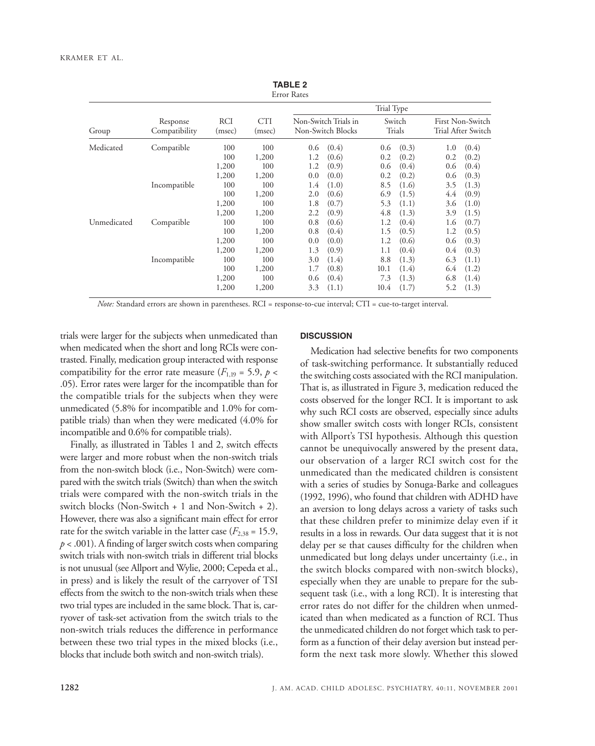| Error Rates |                                                         |                                                                    |                                                                      |                                                                                              |                                                                                              |                                                                                              |  |  |  |  |  |  |
|-------------|---------------------------------------------------------|--------------------------------------------------------------------|----------------------------------------------------------------------|----------------------------------------------------------------------------------------------|----------------------------------------------------------------------------------------------|----------------------------------------------------------------------------------------------|--|--|--|--|--|--|
|             |                                                         | <b>RCI</b><br>(msec)<br>100<br>100<br>1,200<br>1,200<br>100<br>100 | <b>CTI</b><br>(msec)<br>100<br>1,200<br>100<br>1,200<br>100<br>1,200 | Trial Type                                                                                   |                                                                                              |                                                                                              |  |  |  |  |  |  |
| Group       | Response<br>Compatibility<br>Compatible<br>Incompatible |                                                                    |                                                                      | Non-Switch Trials in<br>Non-Switch Blocks                                                    | Switch<br>Trials                                                                             | First Non-Switch<br>Trial After Switch                                                       |  |  |  |  |  |  |
| Medicated   |                                                         |                                                                    |                                                                      | (0.4)<br>0.6<br>1.2<br>(0.6)<br>(0.9)<br>1.2<br>0.0<br>(0.0)<br>(1.0)<br>1.4<br>2.0<br>(0.6) | (0.3)<br>0.6<br>(0.2)<br>0.2<br>(0.4)<br>0.6<br>0.2<br>(0.2)<br>(1.6)<br>8.5<br>(1.5)<br>6.9 | (0.4)<br>1.0<br>(0.2)<br>0.2<br>(0.4)<br>0.6<br>(0.3)<br>0.6<br>(1.3)<br>3.5<br>(0.9)<br>4.4 |  |  |  |  |  |  |
| Unmedicated | Compatible                                              | 1,200<br>1,200<br>100<br>100<br>1,200<br>1,200                     | 100<br>1,200<br>100<br>1,200<br>100<br>1,200<br>100                  | 1.8<br>(0.7)<br>(0.9)<br>2.2<br>(0.6)<br>0.8<br>0.8<br>(0.4)<br>(0.0)<br>0.0<br>1.3<br>(0.9) | (1.1)<br>5.3<br>(1.3)<br>4.8<br>(0.4)<br>1.2<br>1.5<br>(0.5)<br>(0.6)<br>1.2<br>(0.4)<br>1.1 | (1.0)<br>3.6<br>(1.5)<br>3.9<br>(0.7)<br>1.6<br>(0.5)<br>1.2<br>(0.3)<br>0.6<br>(0.3)<br>0.4 |  |  |  |  |  |  |
|             | Incompatible                                            | 100<br>100<br>1,200<br>1,200                                       | 1,200<br>100<br>1,200                                                | 3.0<br>(1.4)<br>1.7<br>(0.8)<br>(0.4)<br>0.6<br>(1.1)<br>3.3                                 | 8.8<br>(1.3)<br>10.1<br>(1.4)<br>(1.3)<br>7.3<br>10.4<br>(1.7)                               | (1.1)<br>6.3<br>(1.2)<br>6.4<br>(1.4)<br>6.8<br>(1.3)<br>5.2                                 |  |  |  |  |  |  |

**TABLE 2**

*Note:* Standard errors are shown in parentheses. RCI = response-to-cue interval; CTI = cue-to-target interval.

trials were larger for the subjects when unmedicated than when medicated when the short and long RCIs were contrasted. Finally, medication group interacted with response compatibility for the error rate measure  $(F_{1,19} = 5.9, p <$ .05). Error rates were larger for the incompatible than for the compatible trials for the subjects when they were unmedicated (5.8% for incompatible and 1.0% for compatible trials) than when they were medicated (4.0% for incompatible and 0.6% for compatible trials).

Finally, as illustrated in Tables 1 and 2, switch effects were larger and more robust when the non-switch trials from the non-switch block (i.e., Non-Switch) were compared with the switch trials (Switch) than when the switch trials were compared with the non-switch trials in the switch blocks (Non-Switch + 1 and Non-Switch + 2). However, there was also a significant main effect for error rate for the switch variable in the latter case  $(F_{2,38} = 15.9)$ , *p* < .001). A finding of larger switch costs when comparing switch trials with non-switch trials in different trial blocks is not unusual (see Allport and Wylie, 2000; Cepeda et al., in press) and is likely the result of the carryover of TSI effects from the switch to the non-switch trials when these two trial types are included in the same block. That is, carryover of task-set activation from the switch trials to the non-switch trials reduces the difference in performance between these two trial types in the mixed blocks (i.e., blocks that include both switch and non-switch trials).

### **DISCUSSION**

Medication had selective benefits for two components of task-switching performance. It substantially reduced the switching costs associated with the RCI manipulation. That is, as illustrated in Figure 3, medication reduced the costs observed for the longer RCI. It is important to ask why such RCI costs are observed, especially since adults show smaller switch costs with longer RCIs, consistent with Allport's TSI hypothesis. Although this question cannot be unequivocally answered by the present data, our observation of a larger RCI switch cost for the unmedicated than the medicated children is consistent with a series of studies by Sonuga-Barke and colleagues (1992, 1996), who found that children with ADHD have an aversion to long delays across a variety of tasks such that these children prefer to minimize delay even if it results in a loss in rewards. Our data suggest that it is not delay per se that causes difficulty for the children when unmedicated but long delays under uncertainty (i.e., in the switch blocks compared with non-switch blocks), especially when they are unable to prepare for the subsequent task (i.e., with a long RCI). It is interesting that error rates do not differ for the children when unmedicated than when medicated as a function of RCI. Thus the unmedicated children do not forget which task to perform as a function of their delay aversion but instead perform the next task more slowly. Whether this slowed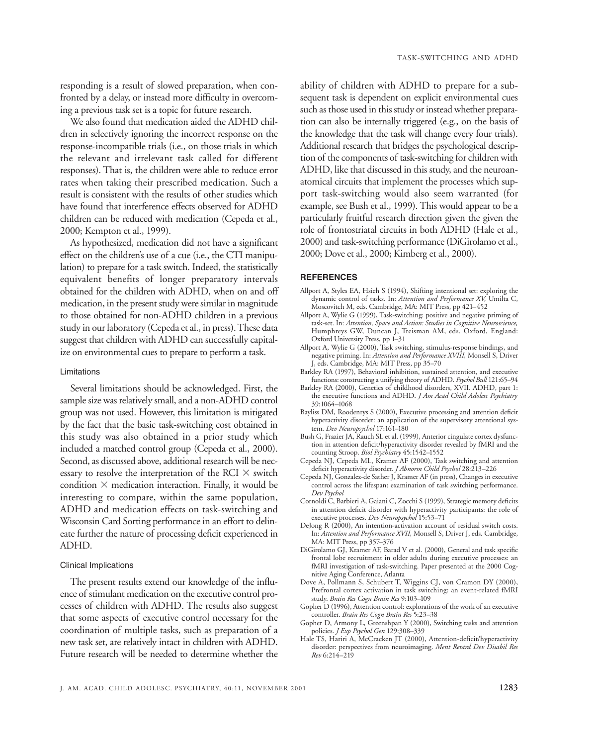responding is a result of slowed preparation, when confronted by a delay, or instead more difficulty in overcoming a previous task set is a topic for future research.

We also found that medication aided the ADHD children in selectively ignoring the incorrect response on the response-incompatible trials (i.e., on those trials in which the relevant and irrelevant task called for different responses). That is, the children were able to reduce error rates when taking their prescribed medication. Such a result is consistent with the results of other studies which have found that interference effects observed for ADHD children can be reduced with medication (Cepeda et al., 2000; Kempton et al., 1999).

As hypothesized, medication did not have a significant effect on the children's use of a cue (i.e., the CTI manipulation) to prepare for a task switch. Indeed, the statistically equivalent benefits of longer preparatory intervals obtained for the children with ADHD, when on and off medication, in the present study were similar in magnitude to those obtained for non-ADHD children in a previous study in our laboratory (Cepeda et al., in press). These data suggest that children with ADHD can successfully capitalize on environmental cues to prepare to perform a task.

### Limitations

Several limitations should be acknowledged. First, the sample size was relatively small, and a non-ADHD control group was not used. However, this limitation is mitigated by the fact that the basic task-switching cost obtained in this study was also obtained in a prior study which included a matched control group (Cepeda et al., 2000). Second, as discussed above, additional research will be necessary to resolve the interpretation of the RCI  $\times$  switch condition  $\times$  medication interaction. Finally, it would be interesting to compare, within the same population, ADHD and medication effects on task-switching and Wisconsin Card Sorting performance in an effort to delineate further the nature of processing deficit experienced in ADHD.

### Clinical Implications

The present results extend our knowledge of the influence of stimulant medication on the executive control processes of children with ADHD. The results also suggest that some aspects of executive control necessary for the coordination of multiple tasks, such as preparation of a new task set, are relatively intact in children with ADHD. Future research will be needed to determine whether the

ability of children with ADHD to prepare for a subsequent task is dependent on explicit environmental cues such as those used in this study or instead whether preparation can also be internally triggered (e.g., on the basis of the knowledge that the task will change every four trials). Additional research that bridges the psychological description of the components of task-switching for children with ADHD, like that discussed in this study, and the neuroanatomical circuits that implement the processes which support task-switching would also seem warranted (for example, see Bush et al., 1999). This would appear to be a particularly fruitful research direction given the given the role of frontostriatal circuits in both ADHD (Hale et al., 2000) and task-switching performance (DiGirolamo et al., 2000; Dove et al., 2000; Kimberg et al., 2000).

#### **REFERENCES**

- Allport A, Styles EA, Hsieh S (1994), Shifting intentional set: exploring the dynamic control of tasks. In: *Attention and Performance XV,* Umilta C, Moscovitch M, eds. Cambridge, MA: MIT Press, pp 421–452
- Allport A, Wylie G (1999), Task-switching: positive and negative priming of task-set. In: *Attention, Space and Action: Studies in Cognitive Neuroscience,* Humphreys GW, Duncan J, Treisman AM, eds. Oxford, England: Oxford University Press, pp 1–31
- Allport A, Wylie G (2000), Task switching, stimulus-response bindings, and negative priming. In: *Attention and Performance XVIII,* Monsell S, Driver J, eds. Cambridge, MA: MIT Press, pp 35–70
- Barkley RA (1997), Behavioral inhibition, sustained attention, and executive functions: constructing a unifying theory of ADHD. *Psychol Bull* 121:65–94
- Barkley RA (2000), Genetics of childhood disorders, XVII. ADHD, part 1: the executive functions and ADHD. *J Am Acad Child Adolesc Psychiatry* 39:1064–1068
- Bayliss DM, Roodenrys S (2000), Executive processing and attention deficit hyperactivity disorder: an application of the supervisory attentional system. *Dev Neuropsychol* 17:161-180
- Bush G, Frazier JA, Rauch SL et al. (1999), Anterior cingulate cortex dysfunction in attention deficit/hyperactivity disorder revealed by fMRI and the counting Stroop. *Biol Psychiatry* 45:1542–1552
- Cepeda NJ, Cepeda ML, Kramer AF (2000), Task switching and attention deficit hyperactivity disorder. *J Abnorm Child Psychol* 28:213–226
- Cepeda NJ, Gonzalez-de Sather J, Kramer AF (in press), Changes in executive control across the lifespan: examination of task switching performance. *Dev Psychol*
- Cornoldi C, Barbieri A, Gaiani C, Zocchi S (1999), Strategic memory deficits in attention deficit disorder with hyperactivity participants: the role of executive processes. *Dev Neuropsychol* 15:53–71
- DeJong R (2000), An intention-activation account of residual switch costs. In: *Attention and Performance XVII,* Monsell S, Driver J, eds. Cambridge, MA: MIT Press, pp 357–376
- DiGirolamo GJ, Kramer AF, Barad V et al. (2000), General and task specific frontal lobe recruitment in older adults during executive processes: an fMRI investigation of task-switching. Paper presented at the 2000 Cognitive Aging Conference, Atlanta
- Dove A, Pollmann S, Schubert T, Wiggins CJ, von Cramon DY (2000), Prefrontal cortex activation in task switching: an event-related fMRI study. *Brain Res Cogn Brain Res* 9:103–109
- Gopher D (1996), Attention control: explorations of the work of an executive controller. *Brain Res Cogn Brain Res* 5:23–38
- Gopher D, Armony L, Greenshpan Y (2000), Switching tasks and attention policies. *J Exp Psychol Gen* 129:308–339
- Hale TS, Hariri A, McCracken JT (2000), Attention-deficit/hyperactivity disorder: perspectives from neuroimaging. *Ment Retard Dev Disabil Res Rev* 6:214–219